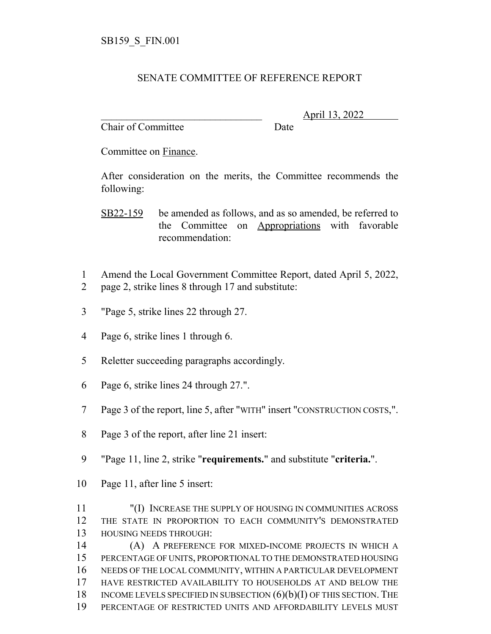## SENATE COMMITTEE OF REFERENCE REPORT

Chair of Committee Date

\_\_\_\_\_\_\_\_\_\_\_\_\_\_\_\_\_\_\_\_\_\_\_\_\_\_\_\_\_\_\_ April 13, 2022

Committee on Finance.

After consideration on the merits, the Committee recommends the following:

SB22-159 be amended as follows, and as so amended, be referred to the Committee on Appropriations with favorable recommendation:

- Amend the Local Government Committee Report, dated April 5, 2022,
- page 2, strike lines 8 through 17 and substitute:
- "Page 5, strike lines 22 through 27.
- Page 6, strike lines 1 through 6.
- Reletter succeeding paragraphs accordingly.
- Page 6, strike lines 24 through 27.".
- Page 3 of the report, line 5, after "WITH" insert "CONSTRUCTION COSTS,".
- Page 3 of the report, after line 21 insert:
- "Page 11, line 2, strike "**requirements.**" and substitute "**criteria.**".
- Page 11, after line 5 insert:
- "(I) INCREASE THE SUPPLY OF HOUSING IN COMMUNITIES ACROSS THE STATE IN PROPORTION TO EACH COMMUNITY'S DEMONSTRATED HOUSING NEEDS THROUGH:

 (A) A PREFERENCE FOR MIXED-INCOME PROJECTS IN WHICH A PERCENTAGE OF UNITS, PROPORTIONAL TO THE DEMONSTRATED HOUSING NEEDS OF THE LOCAL COMMUNITY, WITHIN A PARTICULAR DEVELOPMENT HAVE RESTRICTED AVAILABILITY TO HOUSEHOLDS AT AND BELOW THE 18 INCOME LEVELS SPECIFIED IN SUBSECTION  $(6)(b)(I)$  OF THIS SECTION. THE PERCENTAGE OF RESTRICTED UNITS AND AFFORDABILITY LEVELS MUST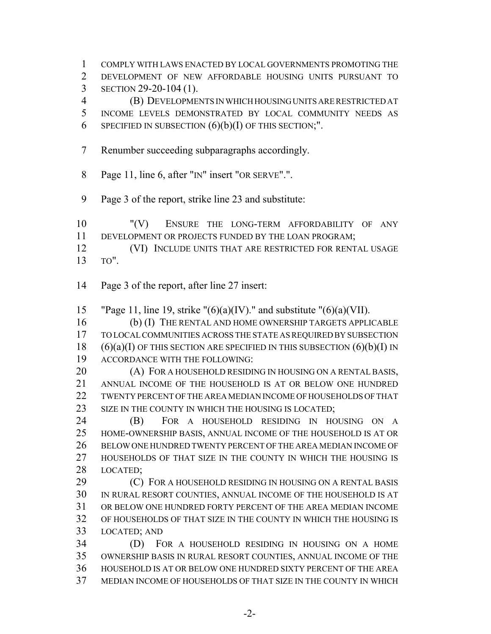COMPLY WITH LAWS ENACTED BY LOCAL GOVERNMENTS PROMOTING THE DEVELOPMENT OF NEW AFFORDABLE HOUSING UNITS PURSUANT TO SECTION 29-20-104 (1). (B) DEVELOPMENTS IN WHICH HOUSING UNITS ARE RESTRICTED AT INCOME LEVELS DEMONSTRATED BY LOCAL COMMUNITY NEEDS AS 6 SPECIFIED IN SUBSECTION  $(6)(b)(I)$  OF THIS SECTION;". Renumber succeeding subparagraphs accordingly. Page 11, line 6, after "IN" insert "OR SERVE".". Page 3 of the report, strike line 23 and substitute: "(V) ENSURE THE LONG-TERM AFFORDABILITY OF ANY DEVELOPMENT OR PROJECTS FUNDED BY THE LOAN PROGRAM; **(VI) INCLUDE UNITS THAT ARE RESTRICTED FOR RENTAL USAGE**  TO". Page 3 of the report, after line 27 insert: 15 "Page 11, line 19, strike " $(6)(a)(IV)$ ." and substitute " $(6)(a)(VII)$ . (b) (I) THE RENTAL AND HOME OWNERSHIP TARGETS APPLICABLE TO LOCAL COMMUNITIES ACROSS THE STATE AS REQUIRED BY SUBSECTION  $(6)(a)(I)$  OF THIS SECTION ARE SPECIFIED IN THIS SUBSECTION  $(6)(b)(I)$  IN ACCORDANCE WITH THE FOLLOWING: 20 (A) FOR A HOUSEHOLD RESIDING IN HOUSING ON A RENTAL BASIS, ANNUAL INCOME OF THE HOUSEHOLD IS AT OR BELOW ONE HUNDRED TWENTY PERCENT OF THE AREA MEDIAN INCOME OF HOUSEHOLDS OF THAT 23 SIZE IN THE COUNTY IN WHICH THE HOUSING IS LOCATED; (B) FOR A HOUSEHOLD RESIDING IN HOUSING ON A HOME-OWNERSHIP BASIS, ANNUAL INCOME OF THE HOUSEHOLD IS AT OR BELOW ONE HUNDRED TWENTY PERCENT OF THE AREA MEDIAN INCOME OF HOUSEHOLDS OF THAT SIZE IN THE COUNTY IN WHICH THE HOUSING IS LOCATED; **(C)** FOR A HOUSEHOLD RESIDING IN HOUSING ON A RENTAL BASIS IN RURAL RESORT COUNTIES, ANNUAL INCOME OF THE HOUSEHOLD IS AT OR BELOW ONE HUNDRED FORTY PERCENT OF THE AREA MEDIAN INCOME OF HOUSEHOLDS OF THAT SIZE IN THE COUNTY IN WHICH THE HOUSING IS LOCATED; AND (D) FOR A HOUSEHOLD RESIDING IN HOUSING ON A HOME OWNERSHIP BASIS IN RURAL RESORT COUNTIES, ANNUAL INCOME OF THE HOUSEHOLD IS AT OR BELOW ONE HUNDRED SIXTY PERCENT OF THE AREA MEDIAN INCOME OF HOUSEHOLDS OF THAT SIZE IN THE COUNTY IN WHICH